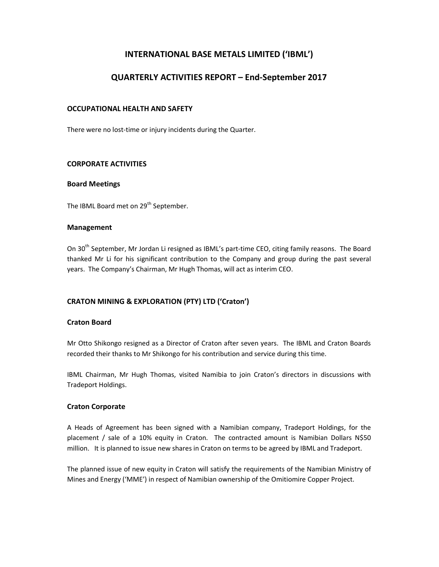# INTERNATIONAL BASE METALS LIMITED ('IBML')

# QUARTERLY ACTIVITIES REPORT – End-September 2017

## OCCUPATIONAL HEALTH AND SAFETY

There were no lost-time or injury incidents during the Quarter.

## CORPORATE ACTIVITIES

#### Board Meetings

The IBML Board met on 29<sup>th</sup> September.

#### Management

On 30<sup>th</sup> September, Mr Jordan Li resigned as IBML's part-time CEO, citing family reasons. The Board thanked Mr Li for his significant contribution to the Company and group during the past several years. The Company's Chairman, Mr Hugh Thomas, will act as interim CEO.

## CRATON MINING & EXPLORATION (PTY) LTD ('Craton')

### Craton Board

Mr Otto Shikongo resigned as a Director of Craton after seven years. The IBML and Craton Boards recorded their thanks to Mr Shikongo for his contribution and service during this time.

IBML Chairman, Mr Hugh Thomas, visited Namibia to join Craton's directors in discussions with Tradeport Holdings.

### Craton Corporate

A Heads of Agreement has been signed with a Namibian company, Tradeport Holdings, for the placement / sale of a 10% equity in Craton. The contracted amount is Namibian Dollars N\$50 million. It is planned to issue new shares in Craton on terms to be agreed by IBML and Tradeport.

The planned issue of new equity in Craton will satisfy the requirements of the Namibian Ministry of Mines and Energy ('MME') in respect of Namibian ownership of the Omitiomire Copper Project.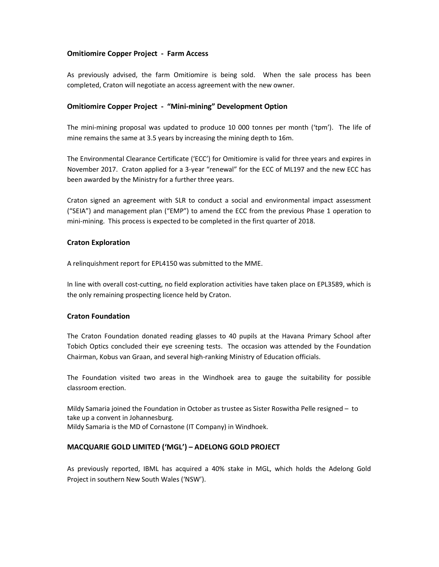## Omitiomire Copper Project - Farm Access

As previously advised, the farm Omitiomire is being sold. When the sale process has been completed, Craton will negotiate an access agreement with the new owner.

## Omitiomire Copper Project - "Mini-mining" Development Option

The mini-mining proposal was updated to produce 10 000 tonnes per month ('tpm'). The life of mine remains the same at 3.5 years by increasing the mining depth to 16m.

The Environmental Clearance Certificate ('ECC') for Omitiomire is valid for three years and expires in November 2017. Craton applied for a 3-year "renewal" for the ECC of ML197 and the new ECC has been awarded by the Ministry for a further three years.

Craton signed an agreement with SLR to conduct a social and environmental impact assessment ("SEIA") and management plan ("EMP") to amend the ECC from the previous Phase 1 operation to mini-mining. This process is expected to be completed in the first quarter of 2018.

## Craton Exploration

A relinquishment report for EPL4150 was submitted to the MME.

In line with overall cost-cutting, no field exploration activities have taken place on EPL3589, which is the only remaining prospecting licence held by Craton.

### Craton Foundation

The Craton Foundation donated reading glasses to 40 pupils at the Havana Primary School after Tobich Optics concluded their eye screening tests. The occasion was attended by the Foundation Chairman, Kobus van Graan, and several high-ranking Ministry of Education officials.

The Foundation visited two areas in the Windhoek area to gauge the suitability for possible classroom erection.

Mildy Samaria joined the Foundation in October as trustee as Sister Roswitha Pelle resigned – to take up a convent in Johannesburg. Mildy Samaria is the MD of Cornastone (IT Company) in Windhoek.

## MACQUARIE GOLD LIMITED ('MGL') – ADELONG GOLD PROJECT

As previously reported, IBML has acquired a 40% stake in MGL, which holds the Adelong Gold Project in southern New South Wales ('NSW').